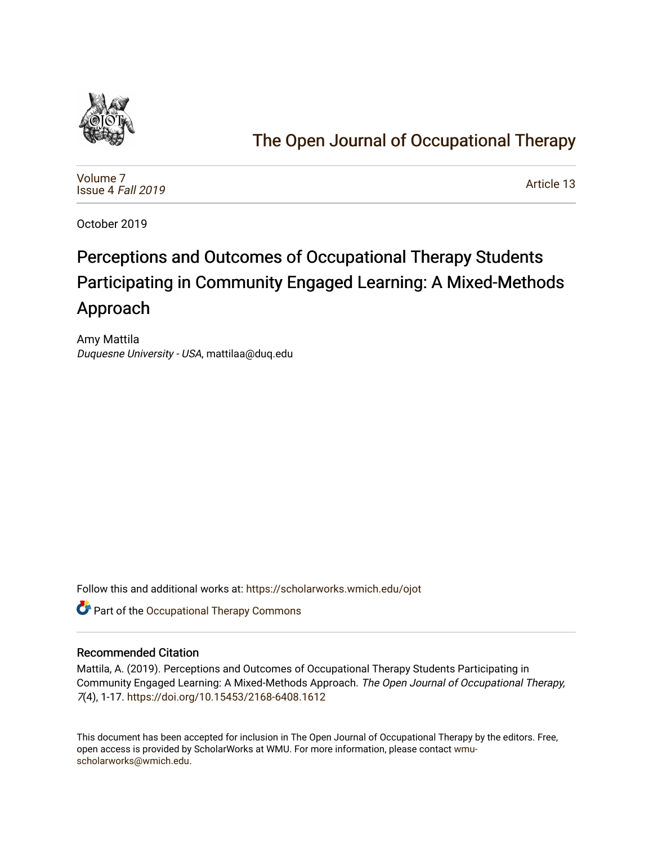

# [The Open Journal of Occupational Therapy](https://scholarworks.wmich.edu/ojot)

[Volume 7](https://scholarworks.wmich.edu/ojot/vol7) [Issue 4](https://scholarworks.wmich.edu/ojot/vol7/iss4) Fall 2019

[Article 13](https://scholarworks.wmich.edu/ojot/vol7/iss4/13) 

October 2019

# Perceptions and Outcomes of Occupational Therapy Students Participating in Community Engaged Learning: A Mixed-Methods Approach

Amy Mattila Duquesne University - USA, mattilaa@duq.edu

Follow this and additional works at: [https://scholarworks.wmich.edu/ojot](https://scholarworks.wmich.edu/ojot?utm_source=scholarworks.wmich.edu%2Fojot%2Fvol7%2Fiss4%2F13&utm_medium=PDF&utm_campaign=PDFCoverPages)

**C** Part of the Occupational Therapy Commons

# Recommended Citation

Mattila, A. (2019). Perceptions and Outcomes of Occupational Therapy Students Participating in Community Engaged Learning: A Mixed-Methods Approach. The Open Journal of Occupational Therapy, 7(4), 1-17.<https://doi.org/10.15453/2168-6408.1612>

This document has been accepted for inclusion in The Open Journal of Occupational Therapy by the editors. Free, open access is provided by ScholarWorks at WMU. For more information, please contact [wmu](mailto:wmu-scholarworks@wmich.edu)[scholarworks@wmich.edu.](mailto:wmu-scholarworks@wmich.edu)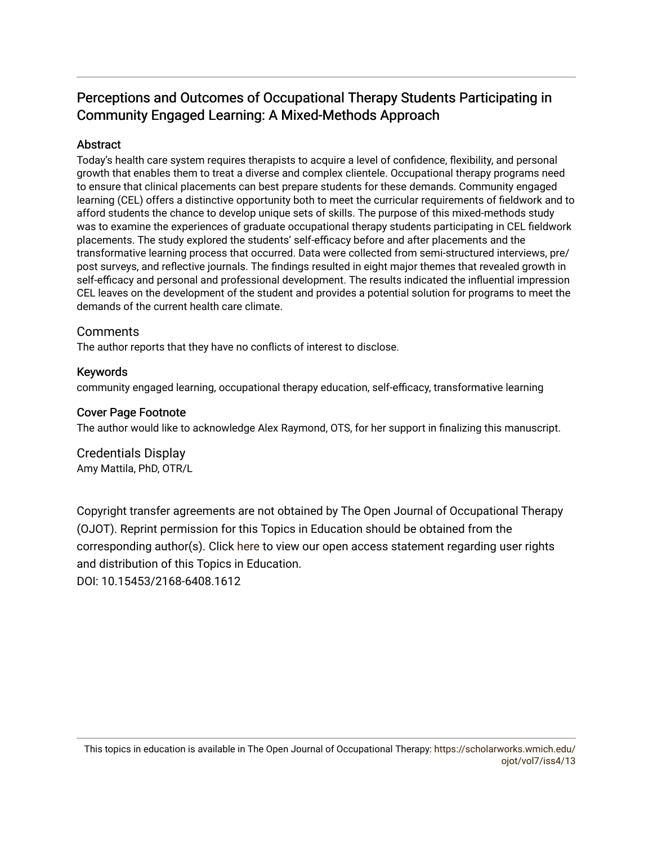# Perceptions and Outcomes of Occupational Therapy Students Participating in Community Engaged Learning: A Mixed-Methods Approach

# Abstract

Today's health care system requires therapists to acquire a level of confidence, flexibility, and personal growth that enables them to treat a diverse and complex clientele. Occupational therapy programs need to ensure that clinical placements can best prepare students for these demands. Community engaged learning (CEL) offers a distinctive opportunity both to meet the curricular requirements of fieldwork and to afford students the chance to develop unique sets of skills. The purpose of this mixed-methods study was to examine the experiences of graduate occupational therapy students participating in CEL fieldwork placements. The study explored the students' self-efficacy before and after placements and the transformative learning process that occurred. Data were collected from semi-structured interviews, pre/ post surveys, and reflective journals. The findings resulted in eight major themes that revealed growth in self-efficacy and personal and professional development. The results indicated the influential impression CEL leaves on the development of the student and provides a potential solution for programs to meet the demands of the current health care climate.

#### Comments

The author reports that they have no conflicts of interest to disclose.

#### Keywords

community engaged learning, occupational therapy education, self-efficacy, transformative learning

#### Cover Page Footnote

The author would like to acknowledge Alex Raymond, OTS, for her support in finalizing this manuscript.

#### Credentials Display Amy Mattila, PhD, OTR/L

Copyright transfer agreements are not obtained by The Open Journal of Occupational Therapy (OJOT). Reprint permission for this Topics in Education should be obtained from the corresponding author(s). Click [here](https://scholarworks.wmich.edu/ojot/policies.html#rights) to view our open access statement regarding user rights and distribution of this Topics in Education.

DOI: 10.15453/2168-6408.1612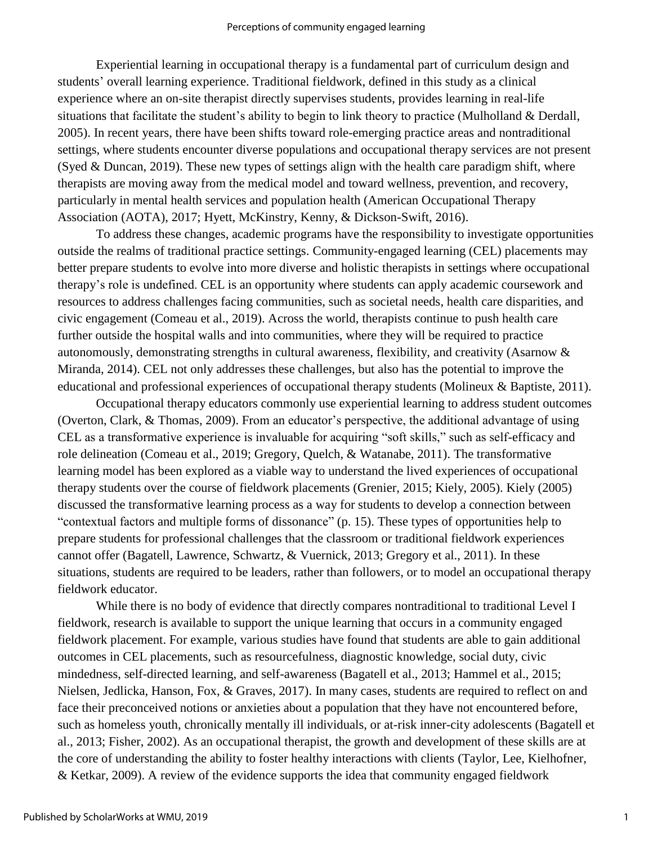Experiential learning in occupational therapy is a fundamental part of curriculum design and students' overall learning experience. Traditional fieldwork, defined in this study as a clinical experience where an on-site therapist directly supervises students, provides learning in real-life situations that facilitate the student's ability to begin to link theory to practice (Mulholland & Derdall, 2005). In recent years, there have been shifts toward role-emerging practice areas and nontraditional settings, where students encounter diverse populations and occupational therapy services are not present (Syed & Duncan, 2019). These new types of settings align with the health care paradigm shift, where therapists are moving away from the medical model and toward wellness, prevention, and recovery, particularly in mental health services and population health (American Occupational Therapy Association (AOTA), 2017; Hyett, McKinstry, Kenny, & Dickson-Swift, 2016).

To address these changes, academic programs have the responsibility to investigate opportunities outside the realms of traditional practice settings. Community-engaged learning (CEL) placements may better prepare students to evolve into more diverse and holistic therapists in settings where occupational therapy's role is undefined. CEL is an opportunity where students can apply academic coursework and resources to address challenges facing communities, such as societal needs, health care disparities, and civic engagement (Comeau et al., 2019). Across the world, therapists continue to push health care further outside the hospital walls and into communities, where they will be required to practice autonomously, demonstrating strengths in cultural awareness, flexibility, and creativity (Asarnow & Miranda, 2014). CEL not only addresses these challenges, but also has the potential to improve the educational and professional experiences of occupational therapy students (Molineux & Baptiste, 2011).

Occupational therapy educators commonly use experiential learning to address student outcomes (Overton, Clark, & Thomas, 2009). From an educator's perspective, the additional advantage of using CEL as a transformative experience is invaluable for acquiring "soft skills," such as self-efficacy and role delineation (Comeau et al., 2019; Gregory, Quelch, & Watanabe, 2011). The transformative learning model has been explored as a viable way to understand the lived experiences of occupational therapy students over the course of fieldwork placements (Grenier, 2015; Kiely, 2005). Kiely (2005) discussed the transformative learning process as a way for students to develop a connection between "contextual factors and multiple forms of dissonance" (p. 15). These types of opportunities help to prepare students for professional challenges that the classroom or traditional fieldwork experiences cannot offer (Bagatell, Lawrence, Schwartz, & Vuernick, 2013; Gregory et al., 2011). In these situations, students are required to be leaders, rather than followers, or to model an occupational therapy fieldwork educator.

While there is no body of evidence that directly compares nontraditional to traditional Level I fieldwork, research is available to support the unique learning that occurs in a community engaged fieldwork placement. For example, various studies have found that students are able to gain additional outcomes in CEL placements, such as resourcefulness, diagnostic knowledge, social duty, civic mindedness, self-directed learning, and self-awareness (Bagatell et al., 2013; Hammel et al., 2015; Nielsen, Jedlicka, Hanson, Fox, & Graves, 2017). In many cases, students are required to reflect on and face their preconceived notions or anxieties about a population that they have not encountered before, such as homeless youth, chronically mentally ill individuals, or at-risk inner-city adolescents (Bagatell et al., 2013; Fisher, 2002). As an occupational therapist, the growth and development of these skills are at the core of understanding the ability to foster healthy interactions with clients (Taylor, Lee, Kielhofner, & Ketkar, 2009). A review of the evidence supports the idea that community engaged fieldwork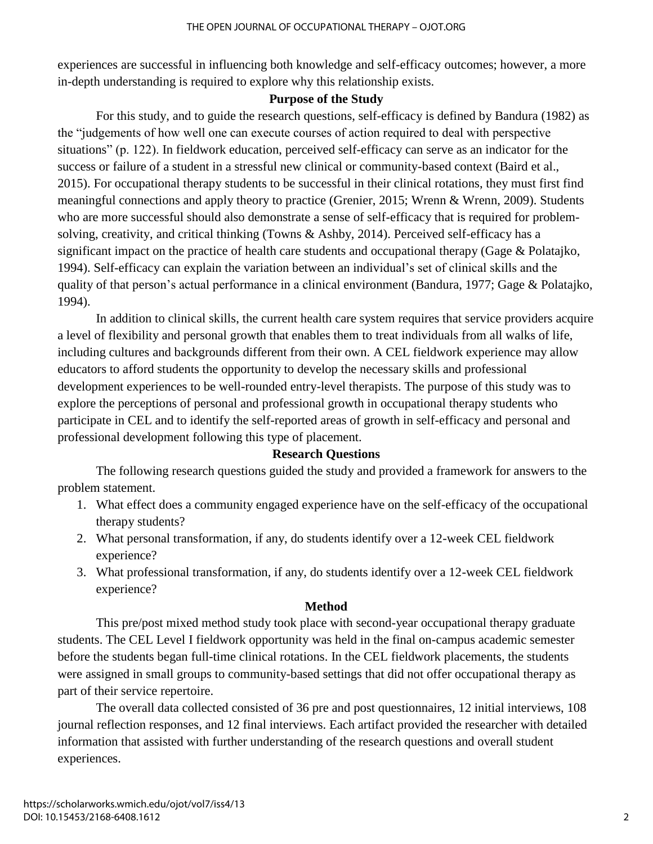experiences are successful in influencing both knowledge and self-efficacy outcomes; however, a more in-depth understanding is required to explore why this relationship exists.

### **Purpose of the Study**

For this study, and to guide the research questions, self-efficacy is defined by Bandura (1982) as the "judgements of how well one can execute courses of action required to deal with perspective situations" (p. 122). In fieldwork education, perceived self-efficacy can serve as an indicator for the success or failure of a student in a stressful new clinical or community-based context (Baird et al., 2015). For occupational therapy students to be successful in their clinical rotations, they must first find meaningful connections and apply theory to practice (Grenier, 2015; Wrenn & Wrenn, 2009). Students who are more successful should also demonstrate a sense of self-efficacy that is required for problemsolving, creativity, and critical thinking (Towns & Ashby, 2014). Perceived self-efficacy has a significant impact on the practice of health care students and occupational therapy (Gage & Polatajko, 1994). Self-efficacy can explain the variation between an individual's set of clinical skills and the quality of that person's actual performance in a clinical environment (Bandura, 1977; Gage & Polatajko, 1994).

In addition to clinical skills, the current health care system requires that service providers acquire a level of flexibility and personal growth that enables them to treat individuals from all walks of life, including cultures and backgrounds different from their own. A CEL fieldwork experience may allow educators to afford students the opportunity to develop the necessary skills and professional development experiences to be well-rounded entry-level therapists. The purpose of this study was to explore the perceptions of personal and professional growth in occupational therapy students who participate in CEL and to identify the self-reported areas of growth in self-efficacy and personal and professional development following this type of placement.

#### **Research Questions**

The following research questions guided the study and provided a framework for answers to the problem statement.

- 1. What effect does a community engaged experience have on the self-efficacy of the occupational therapy students?
- 2. What personal transformation, if any, do students identify over a 12-week CEL fieldwork experience?
- 3. What professional transformation, if any, do students identify over a 12-week CEL fieldwork experience?

#### **Method**

This pre/post mixed method study took place with second-year occupational therapy graduate students. The CEL Level I fieldwork opportunity was held in the final on-campus academic semester before the students began full-time clinical rotations. In the CEL fieldwork placements, the students were assigned in small groups to community-based settings that did not offer occupational therapy as part of their service repertoire.

The overall data collected consisted of 36 pre and post questionnaires, 12 initial interviews, 108 journal reflection responses, and 12 final interviews. Each artifact provided the researcher with detailed information that assisted with further understanding of the research questions and overall student experiences.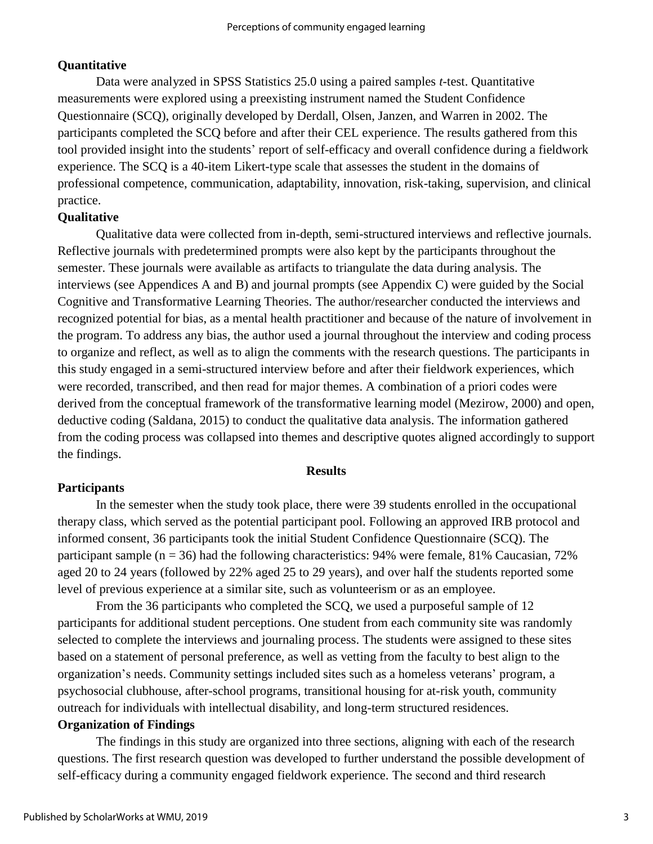# **Quantitative**

Data were analyzed in SPSS Statistics 25.0 using a paired samples *t*-test. Quantitative measurements were explored using a preexisting instrument named the Student Confidence Questionnaire (SCQ), originally developed by Derdall, Olsen, Janzen, and Warren in 2002. The participants completed the SCQ before and after their CEL experience. The results gathered from this tool provided insight into the students' report of self-efficacy and overall confidence during a fieldwork experience. The SCQ is a 40-item Likert-type scale that assesses the student in the domains of professional competence, communication, adaptability, innovation, risk-taking, supervision, and clinical practice.

# **Qualitative**

Qualitative data were collected from in-depth, semi-structured interviews and reflective journals. Reflective journals with predetermined prompts were also kept by the participants throughout the semester. These journals were available as artifacts to triangulate the data during analysis. The interviews (see Appendices A and B) and journal prompts (see Appendix C) were guided by the Social Cognitive and Transformative Learning Theories. The author/researcher conducted the interviews and recognized potential for bias, as a mental health practitioner and because of the nature of involvement in the program. To address any bias, the author used a journal throughout the interview and coding process to organize and reflect, as well as to align the comments with the research questions. The participants in this study engaged in a semi-structured interview before and after their fieldwork experiences, which were recorded, transcribed, and then read for major themes. A combination of a priori codes were derived from the conceptual framework of the transformative learning model (Mezirow, 2000) and open, deductive coding (Saldana, 2015) to conduct the qualitative data analysis. The information gathered from the coding process was collapsed into themes and descriptive quotes aligned accordingly to support the findings.

#### **Results**

#### **Participants**

In the semester when the study took place, there were 39 students enrolled in the occupational therapy class, which served as the potential participant pool. Following an approved IRB protocol and informed consent, 36 participants took the initial Student Confidence Questionnaire (SCQ). The participant sample ( $n = 36$ ) had the following characteristics: 94% were female, 81% Caucasian, 72% aged 20 to 24 years (followed by 22% aged 25 to 29 years), and over half the students reported some level of previous experience at a similar site, such as volunteerism or as an employee.

From the 36 participants who completed the SCQ, we used a purposeful sample of 12 participants for additional student perceptions. One student from each community site was randomly selected to complete the interviews and journaling process. The students were assigned to these sites based on a statement of personal preference, as well as vetting from the faculty to best align to the organization's needs. Community settings included sites such as a homeless veterans' program, a psychosocial clubhouse, after-school programs, transitional housing for at-risk youth, community outreach for individuals with intellectual disability, and long-term structured residences.

#### **Organization of Findings**

The findings in this study are organized into three sections, aligning with each of the research questions. The first research question was developed to further understand the possible development of self-efficacy during a community engaged fieldwork experience. The second and third research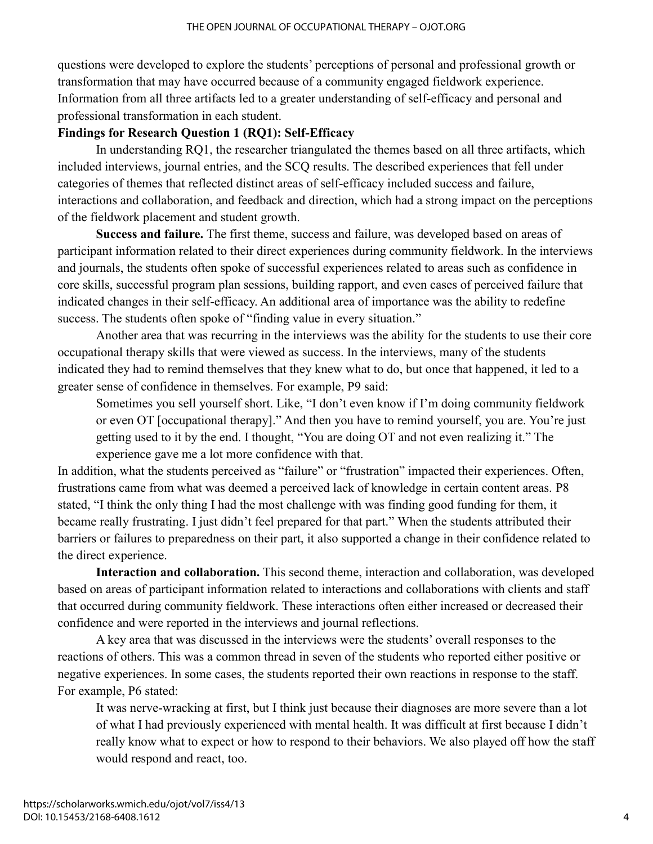questions were developed to explore the students' perceptions of personal and professional growth or transformation that may have occurred because of a community engaged fieldwork experience. Information from all three artifacts led to a greater understanding of self-efficacy and personal and professional transformation in each student.

### **Findings for Research Question 1 (RQ1): Self-Efficacy**

In understanding RQ1, the researcher triangulated the themes based on all three artifacts, which included interviews, journal entries, and the SCQ results. The described experiences that fell under categories of themes that reflected distinct areas of self-efficacy included success and failure, interactions and collaboration, and feedback and direction, which had a strong impact on the perceptions of the fieldwork placement and student growth.

**Success and failure.** The first theme, success and failure, was developed based on areas of participant information related to their direct experiences during community fieldwork. In the interviews and journals, the students often spoke of successful experiences related to areas such as confidence in core skills, successful program plan sessions, building rapport, and even cases of perceived failure that indicated changes in their self-efficacy. An additional area of importance was the ability to redefine success. The students often spoke of "finding value in every situation."

Another area that was recurring in the interviews was the ability for the students to use their core occupational therapy skills that were viewed as success. In the interviews, many of the students indicated they had to remind themselves that they knew what to do, but once that happened, it led to a greater sense of confidence in themselves. For example, P9 said:

Sometimes you sell yourself short. Like, "I don't even know if I'm doing community fieldwork or even OT [occupational therapy]." And then you have to remind yourself, you are. You're just getting used to it by the end. I thought, "You are doing OT and not even realizing it." The experience gave me a lot more confidence with that.

In addition, what the students perceived as "failure" or "frustration" impacted their experiences. Often, frustrations came from what was deemed a perceived lack of knowledge in certain content areas. P8 stated, "I think the only thing I had the most challenge with was finding good funding for them, it became really frustrating. I just didn't feel prepared for that part." When the students attributed their barriers or failures to preparedness on their part, it also supported a change in their confidence related to the direct experience.

**Interaction and collaboration.** This second theme, interaction and collaboration, was developed based on areas of participant information related to interactions and collaborations with clients and staff that occurred during community fieldwork. These interactions often either increased or decreased their confidence and were reported in the interviews and journal reflections.

A key area that was discussed in the interviews were the students' overall responses to the reactions of others. This was a common thread in seven of the students who reported either positive or negative experiences. In some cases, the students reported their own reactions in response to the staff. For example, P6 stated:

It was nerve-wracking at first, but I think just because their diagnoses are more severe than a lot of what I had previously experienced with mental health. It was difficult at first because I didn't really know what to expect or how to respond to their behaviors. We also played off how the staff would respond and react, too.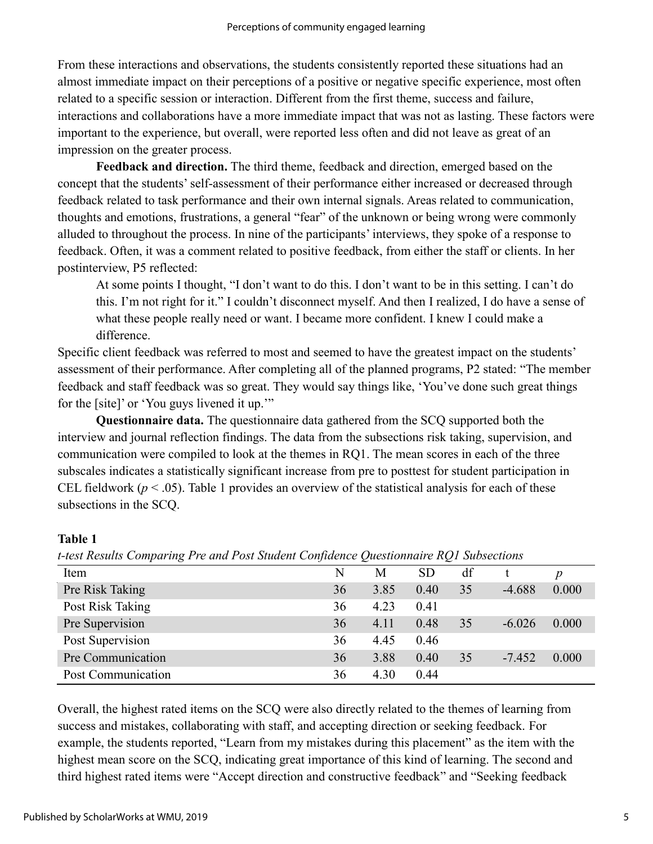From these interactions and observations, the students consistently reported these situations had an almost immediate impact on their perceptions of a positive or negative specific experience, most often related to a specific session or interaction. Different from the first theme, success and failure, interactions and collaborations have a more immediate impact that was not as lasting. These factors were important to the experience, but overall, were reported less often and did not leave as great of an impression on the greater process.

**Feedback and direction.** The third theme, feedback and direction, emerged based on the concept that the students' self-assessment of their performance either increased or decreased through feedback related to task performance and their own internal signals. Areas related to communication, thoughts and emotions, frustrations, a general "fear" of the unknown or being wrong were commonly alluded to throughout the process. In nine of the participants' interviews, they spoke of a response to feedback. Often, it was a comment related to positive feedback, from either the staff or clients. In her postinterview, P5 reflected:

At some points I thought, "I don't want to do this. I don't want to be in this setting. I can't do this. I'm not right for it." I couldn't disconnect myself. And then I realized, I do have a sense of what these people really need or want. I became more confident. I knew I could make a difference.

Specific client feedback was referred to most and seemed to have the greatest impact on the students' assessment of their performance. After completing all of the planned programs, P2 stated: "The member feedback and staff feedback was so great. They would say things like, 'You've done such great things for the [site]' or 'You guys livened it up.'"

**Questionnaire data.** The questionnaire data gathered from the SCQ supported both the interview and journal reflection findings. The data from the subsections risk taking, supervision, and communication were compiled to look at the themes in RQ1. The mean scores in each of the three subscales indicates a statistically significant increase from pre to posttest for student participation in CEL fieldwork ( $p < .05$ ). Table 1 provides an overview of the statistical analysis for each of these subsections in the SCQ.

#### **Table 1**

*t-test Results Comparing Pre and Post Student Confidence Questionnaire RQ1 Subsections*

| Item               | N  | М    | <b>SD</b> | df |          | $\boldsymbol{p}$ |
|--------------------|----|------|-----------|----|----------|------------------|
| Pre Risk Taking    | 36 | 3.85 | 0.40      | 35 | $-4.688$ | 0.000            |
| Post Risk Taking   | 36 | 4.23 | 0.41      |    |          |                  |
| Pre Supervision    | 36 | 4.11 | 0.48      | 35 | $-6.026$ | 0.000            |
| Post Supervision   | 36 | 4.45 | 0.46      |    |          |                  |
| Pre Communication  | 36 | 3.88 | 0.40      | 35 | $-7.452$ | 0.000            |
| Post Communication | 36 | 4.30 | 0.44      |    |          |                  |

Overall, the highest rated items on the SCQ were also directly related to the themes of learning from success and mistakes, collaborating with staff, and accepting direction or seeking feedback. For example, the students reported, "Learn from my mistakes during this placement" as the item with the highest mean score on the SCQ, indicating great importance of this kind of learning. The second and third highest rated items were "Accept direction and constructive feedback" and "Seeking feedback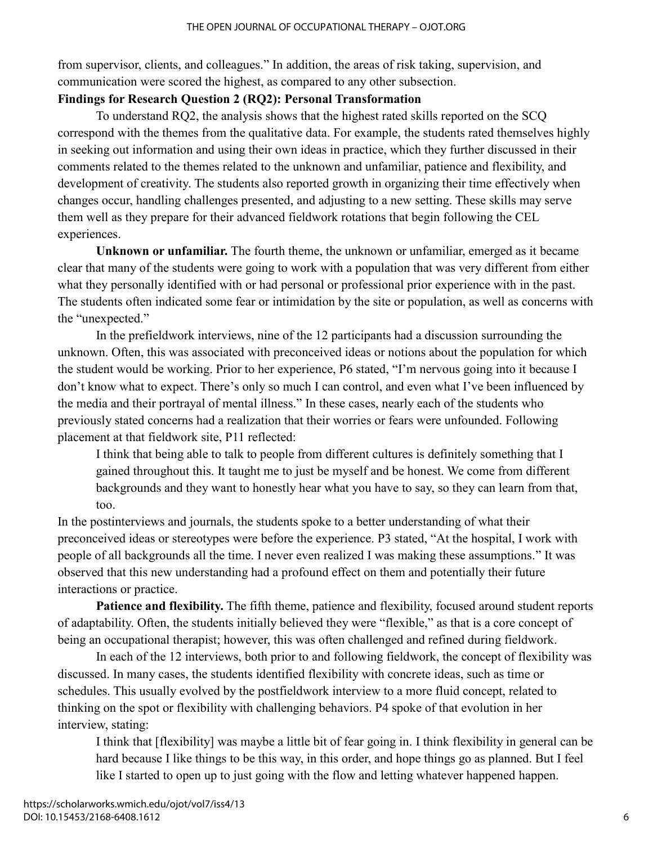from supervisor, clients, and colleagues." In addition, the areas of risk taking, supervision, and communication were scored the highest, as compared to any other subsection.

### **Findings for Research Question 2 (RQ2): Personal Transformation**

To understand RQ2, the analysis shows that the highest rated skills reported on the SCQ correspond with the themes from the qualitative data. For example, the students rated themselves highly in seeking out information and using their own ideas in practice, which they further discussed in their comments related to the themes related to the unknown and unfamiliar, patience and flexibility, and development of creativity. The students also reported growth in organizing their time effectively when changes occur, handling challenges presented, and adjusting to a new setting. These skills may serve them well as they prepare for their advanced fieldwork rotations that begin following the CEL experiences.

**Unknown or unfamiliar.** The fourth theme, the unknown or unfamiliar, emerged as it became clear that many of the students were going to work with a population that was very different from either what they personally identified with or had personal or professional prior experience with in the past. The students often indicated some fear or intimidation by the site or population, as well as concerns with the "unexpected."

In the prefieldwork interviews, nine of the 12 participants had a discussion surrounding the unknown. Often, this was associated with preconceived ideas or notions about the population for which the student would be working. Prior to her experience, P6 stated, "I'm nervous going into it because I don't know what to expect. There's only so much I can control, and even what I've been influenced by the media and their portrayal of mental illness." In these cases, nearly each of the students who previously stated concerns had a realization that their worries or fears were unfounded. Following placement at that fieldwork site, P11 reflected:

I think that being able to talk to people from different cultures is definitely something that I gained throughout this. It taught me to just be myself and be honest. We come from different backgrounds and they want to honestly hear what you have to say, so they can learn from that, too.

In the postinterviews and journals, the students spoke to a better understanding of what their preconceived ideas or stereotypes were before the experience. P3 stated, "At the hospital, I work with people of all backgrounds all the time. I never even realized I was making these assumptions." It was observed that this new understanding had a profound effect on them and potentially their future interactions or practice.

**Patience and flexibility.** The fifth theme, patience and flexibility, focused around student reports of adaptability. Often, the students initially believed they were "flexible," as that is a core concept of being an occupational therapist; however, this was often challenged and refined during fieldwork.

In each of the 12 interviews, both prior to and following fieldwork, the concept of flexibility was discussed. In many cases, the students identified flexibility with concrete ideas, such as time or schedules. This usually evolved by the postfieldwork interview to a more fluid concept, related to thinking on the spot or flexibility with challenging behaviors. P4 spoke of that evolution in her interview, stating:

I think that [flexibility] was maybe a little bit of fear going in. I think flexibility in general can be hard because I like things to be this way, in this order, and hope things go as planned. But I feel like I started to open up to just going with the flow and letting whatever happened happen.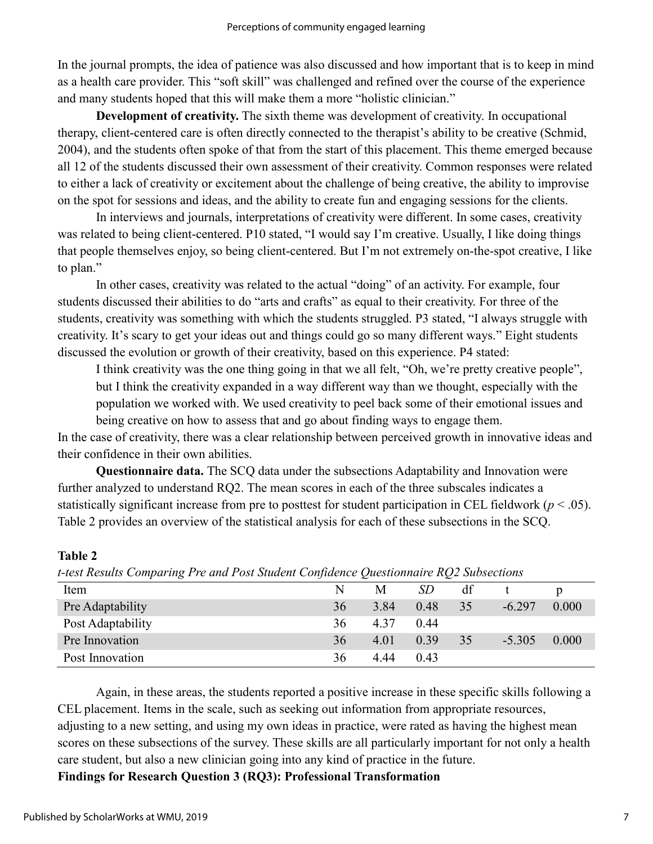In the journal prompts, the idea of patience was also discussed and how important that is to keep in mind as a health care provider. This "soft skill" was challenged and refined over the course of the experience and many students hoped that this will make them a more "holistic clinician."

**Development of creativity.** The sixth theme was development of creativity. In occupational therapy, client-centered care is often directly connected to the therapist's ability to be creative (Schmid, 2004), and the students often spoke of that from the start of this placement. This theme emerged because all 12 of the students discussed their own assessment of their creativity. Common responses were related to either a lack of creativity or excitement about the challenge of being creative, the ability to improvise on the spot for sessions and ideas, and the ability to create fun and engaging sessions for the clients.

In interviews and journals, interpretations of creativity were different. In some cases, creativity was related to being client-centered. P10 stated, "I would say I'm creative. Usually, I like doing things that people themselves enjoy, so being client-centered. But I'm not extremely on-the-spot creative, I like to plan."

In other cases, creativity was related to the actual "doing" of an activity. For example, four students discussed their abilities to do "arts and crafts" as equal to their creativity. For three of the students, creativity was something with which the students struggled. P3 stated, "I always struggle with creativity. It's scary to get your ideas out and things could go so many different ways." Eight students discussed the evolution or growth of their creativity, based on this experience. P4 stated:

I think creativity was the one thing going in that we all felt, "Oh, we're pretty creative people", but I think the creativity expanded in a way different way than we thought, especially with the population we worked with. We used creativity to peel back some of their emotional issues and being creative on how to assess that and go about finding ways to engage them.

In the case of creativity, there was a clear relationship between perceived growth in innovative ideas and their confidence in their own abilities.

**Questionnaire data.** The SCQ data under the subsections Adaptability and Innovation were further analyzed to understand RQ2. The mean scores in each of the three subscales indicates a statistically significant increase from pre to posttest for student participation in CEL fieldwork ( $p < .05$ ). Table 2 provides an overview of the statistical analysis for each of these subsections in the SCQ.

| t-test results Comparing I re and I ost student Confidence Questionnaire RQ2 Subsections |    |      |      |    |          |       |
|------------------------------------------------------------------------------------------|----|------|------|----|----------|-------|
| Item                                                                                     |    | M    | SD   | df |          |       |
| Pre Adaptability                                                                         | 36 | 3.84 | 0.48 | 35 | $-6.297$ | 0.000 |
| Post Adaptability                                                                        | 36 | 4.37 | 0.44 |    |          |       |
| Pre Innovation                                                                           | 36 | 4.01 | 0.39 | 35 | $-5.305$ | 0.000 |
| Post Innovation                                                                          | 36 | 4.44 | 0.43 |    |          |       |

**Table 2**

*t-test Results Comparing Pre and Post Student Confidence Questionnaire RQ2 Subsections*

Again, in these areas, the students reported a positive increase in these specific skills following a CEL placement. Items in the scale, such as seeking out information from appropriate resources, adjusting to a new setting, and using my own ideas in practice, were rated as having the highest mean scores on these subsections of the survey. These skills are all particularly important for not only a health care student, but also a new clinician going into any kind of practice in the future.

**Findings for Research Question 3 (RQ3): Professional Transformation**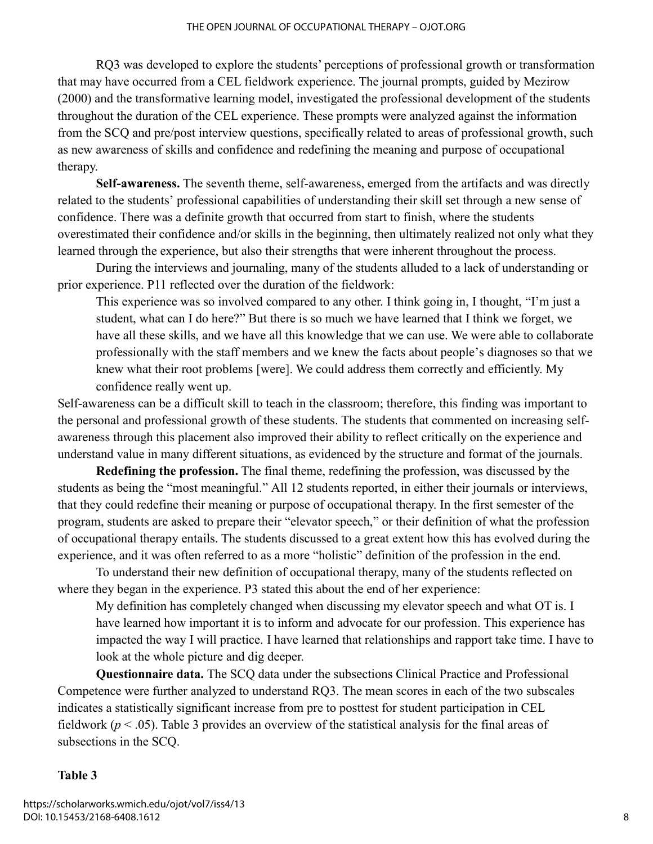RQ3 was developed to explore the students' perceptions of professional growth or transformation that may have occurred from a CEL fieldwork experience. The journal prompts, guided by Mezirow (2000) and the transformative learning model, investigated the professional development of the students throughout the duration of the CEL experience. These prompts were analyzed against the information from the SCQ and pre/post interview questions, specifically related to areas of professional growth, such as new awareness of skills and confidence and redefining the meaning and purpose of occupational therapy.

**Self-awareness.** The seventh theme, self-awareness, emerged from the artifacts and was directly related to the students' professional capabilities of understanding their skill set through a new sense of confidence. There was a definite growth that occurred from start to finish, where the students overestimated their confidence and/or skills in the beginning, then ultimately realized not only what they learned through the experience, but also their strengths that were inherent throughout the process.

During the interviews and journaling, many of the students alluded to a lack of understanding or prior experience. P11 reflected over the duration of the fieldwork:

This experience was so involved compared to any other. I think going in, I thought, "I'm just a student, what can I do here?" But there is so much we have learned that I think we forget, we have all these skills, and we have all this knowledge that we can use. We were able to collaborate professionally with the staff members and we knew the facts about people's diagnoses so that we knew what their root problems [were]. We could address them correctly and efficiently. My confidence really went up.

Self-awareness can be a difficult skill to teach in the classroom; therefore, this finding was important to the personal and professional growth of these students. The students that commented on increasing selfawareness through this placement also improved their ability to reflect critically on the experience and understand value in many different situations, as evidenced by the structure and format of the journals.

**Redefining the profession.** The final theme, redefining the profession, was discussed by the students as being the "most meaningful." All 12 students reported, in either their journals or interviews, that they could redefine their meaning or purpose of occupational therapy. In the first semester of the program, students are asked to prepare their "elevator speech," or their definition of what the profession of occupational therapy entails. The students discussed to a great extent how this has evolved during the experience, and it was often referred to as a more "holistic" definition of the profession in the end.

To understand their new definition of occupational therapy, many of the students reflected on where they began in the experience. P3 stated this about the end of her experience:

My definition has completely changed when discussing my elevator speech and what OT is. I have learned how important it is to inform and advocate for our profession. This experience has impacted the way I will practice. I have learned that relationships and rapport take time. I have to look at the whole picture and dig deeper.

**Questionnaire data.** The SCQ data under the subsections Clinical Practice and Professional Competence were further analyzed to understand RQ3. The mean scores in each of the two subscales indicates a statistically significant increase from pre to posttest for student participation in CEL fieldwork (*p* < .05). Table 3 provides an overview of the statistical analysis for the final areas of subsections in the SCQ.

#### **Table 3**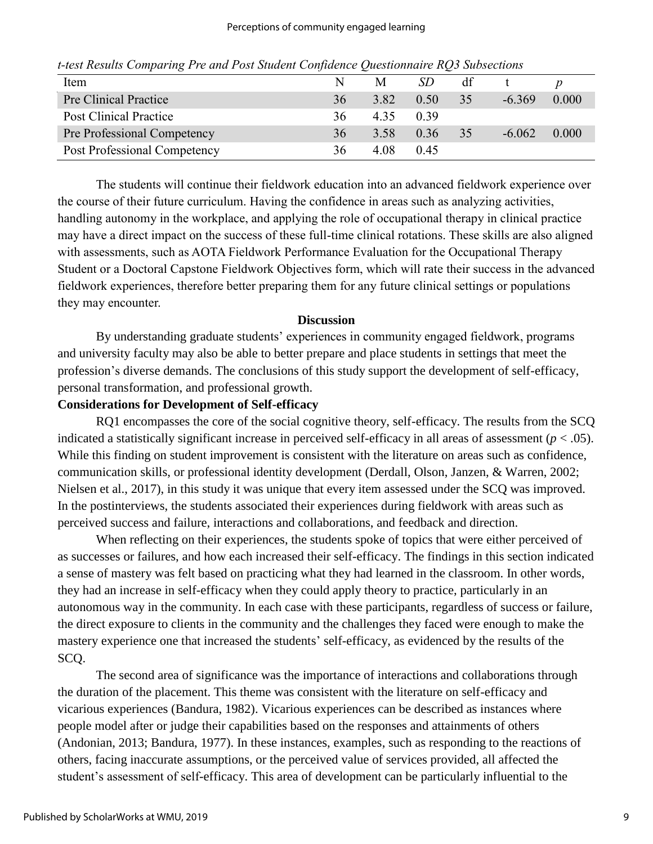| Item                          |    | M    | SD   | df |          |       |
|-------------------------------|----|------|------|----|----------|-------|
| Pre Clinical Practice         | 36 | 3.82 | 0.50 | 35 | $-6.369$ | 0.000 |
| <b>Post Clinical Practice</b> | 36 | 4.35 | 0.39 |    |          |       |
| Pre Professional Competency   | 36 | 3.58 | 0.36 | 35 | $-6.062$ | 0.000 |
| Post Professional Competency  | 36 | 4.08 | 0.45 |    |          |       |

*t-test Results Comparing Pre and Post Student Confidence Questionnaire RQ3 Subsections*

The students will continue their fieldwork education into an advanced fieldwork experience over the course of their future curriculum. Having the confidence in areas such as analyzing activities, handling autonomy in the workplace, and applying the role of occupational therapy in clinical practice may have a direct impact on the success of these full-time clinical rotations. These skills are also aligned with assessments, such as AOTA Fieldwork Performance Evaluation for the Occupational Therapy Student or a Doctoral Capstone Fieldwork Objectives form, which will rate their success in the advanced fieldwork experiences, therefore better preparing them for any future clinical settings or populations they may encounter.

#### **Discussion**

By understanding graduate students' experiences in community engaged fieldwork, programs and university faculty may also be able to better prepare and place students in settings that meet the profession's diverse demands. The conclusions of this study support the development of self-efficacy, personal transformation, and professional growth.

#### **Considerations for Development of Self-efficacy**

RQ1 encompasses the core of the social cognitive theory, self-efficacy. The results from the SCQ indicated a statistically significant increase in perceived self-efficacy in all areas of assessment (*p* < .05). While this finding on student improvement is consistent with the literature on areas such as confidence, communication skills, or professional identity development (Derdall, Olson, Janzen, & Warren, 2002; Nielsen et al., 2017), in this study it was unique that every item assessed under the SCQ was improved. In the postinterviews, the students associated their experiences during fieldwork with areas such as perceived success and failure, interactions and collaborations, and feedback and direction.

When reflecting on their experiences, the students spoke of topics that were either perceived of as successes or failures, and how each increased their self-efficacy. The findings in this section indicated a sense of mastery was felt based on practicing what they had learned in the classroom. In other words, they had an increase in self-efficacy when they could apply theory to practice, particularly in an autonomous way in the community. In each case with these participants, regardless of success or failure, the direct exposure to clients in the community and the challenges they faced were enough to make the mastery experience one that increased the students' self-efficacy, as evidenced by the results of the SCQ.

The second area of significance was the importance of interactions and collaborations through the duration of the placement. This theme was consistent with the literature on self-efficacy and vicarious experiences (Bandura, 1982). Vicarious experiences can be described as instances where people model after or judge their capabilities based on the responses and attainments of others (Andonian, 2013; Bandura, 1977). In these instances, examples, such as responding to the reactions of others, facing inaccurate assumptions, or the perceived value of services provided, all affected the student's assessment of self-efficacy. This area of development can be particularly influential to the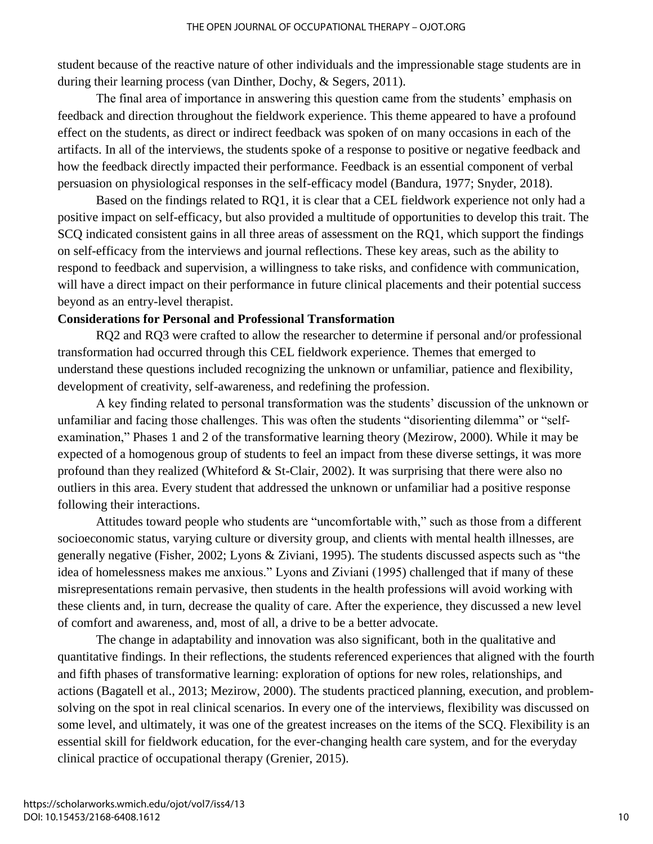student because of the reactive nature of other individuals and the impressionable stage students are in during their learning process (van Dinther, Dochy, & Segers, 2011).

The final area of importance in answering this question came from the students' emphasis on feedback and direction throughout the fieldwork experience. This theme appeared to have a profound effect on the students, as direct or indirect feedback was spoken of on many occasions in each of the artifacts. In all of the interviews, the students spoke of a response to positive or negative feedback and how the feedback directly impacted their performance. Feedback is an essential component of verbal persuasion on physiological responses in the self-efficacy model (Bandura, 1977; Snyder, 2018).

Based on the findings related to RQ1, it is clear that a CEL fieldwork experience not only had a positive impact on self-efficacy, but also provided a multitude of opportunities to develop this trait. The SCQ indicated consistent gains in all three areas of assessment on the RQ1, which support the findings on self-efficacy from the interviews and journal reflections. These key areas, such as the ability to respond to feedback and supervision, a willingness to take risks, and confidence with communication, will have a direct impact on their performance in future clinical placements and their potential success beyond as an entry-level therapist.

### **Considerations for Personal and Professional Transformation**

RQ2 and RQ3 were crafted to allow the researcher to determine if personal and/or professional transformation had occurred through this CEL fieldwork experience. Themes that emerged to understand these questions included recognizing the unknown or unfamiliar, patience and flexibility, development of creativity, self-awareness, and redefining the profession.

A key finding related to personal transformation was the students' discussion of the unknown or unfamiliar and facing those challenges. This was often the students "disorienting dilemma" or "selfexamination," Phases 1 and 2 of the transformative learning theory (Mezirow, 2000). While it may be expected of a homogenous group of students to feel an impact from these diverse settings, it was more profound than they realized (Whiteford  $&$  St-Clair, 2002). It was surprising that there were also no outliers in this area. Every student that addressed the unknown or unfamiliar had a positive response following their interactions.

Attitudes toward people who students are "uncomfortable with," such as those from a different socioeconomic status, varying culture or diversity group, and clients with mental health illnesses, are generally negative (Fisher, 2002; Lyons & Ziviani, 1995). The students discussed aspects such as "the idea of homelessness makes me anxious." Lyons and Ziviani (1995) challenged that if many of these misrepresentations remain pervasive, then students in the health professions will avoid working with these clients and, in turn, decrease the quality of care. After the experience, they discussed a new level of comfort and awareness, and, most of all, a drive to be a better advocate.

The change in adaptability and innovation was also significant, both in the qualitative and quantitative findings. In their reflections, the students referenced experiences that aligned with the fourth and fifth phases of transformative learning: exploration of options for new roles, relationships, and actions (Bagatell et al., 2013; Mezirow, 2000). The students practiced planning, execution, and problemsolving on the spot in real clinical scenarios. In every one of the interviews, flexibility was discussed on some level, and ultimately, it was one of the greatest increases on the items of the SCQ. Flexibility is an essential skill for fieldwork education, for the ever-changing health care system, and for the everyday clinical practice of occupational therapy (Grenier, 2015).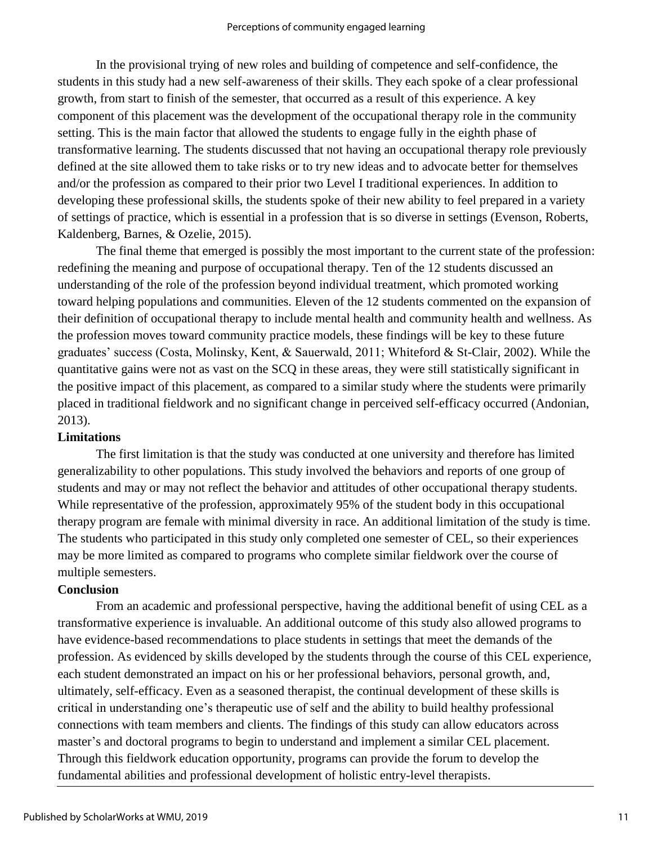In the provisional trying of new roles and building of competence and self-confidence, the students in this study had a new self-awareness of their skills. They each spoke of a clear professional growth, from start to finish of the semester, that occurred as a result of this experience. A key component of this placement was the development of the occupational therapy role in the community setting. This is the main factor that allowed the students to engage fully in the eighth phase of transformative learning. The students discussed that not having an occupational therapy role previously defined at the site allowed them to take risks or to try new ideas and to advocate better for themselves and/or the profession as compared to their prior two Level I traditional experiences. In addition to developing these professional skills, the students spoke of their new ability to feel prepared in a variety of settings of practice, which is essential in a profession that is so diverse in settings (Evenson, Roberts, Kaldenberg, Barnes, & Ozelie, 2015).

The final theme that emerged is possibly the most important to the current state of the profession: redefining the meaning and purpose of occupational therapy. Ten of the 12 students discussed an understanding of the role of the profession beyond individual treatment, which promoted working toward helping populations and communities. Eleven of the 12 students commented on the expansion of their definition of occupational therapy to include mental health and community health and wellness. As the profession moves toward community practice models, these findings will be key to these future graduates' success (Costa, Molinsky, Kent, & Sauerwald, 2011; Whiteford & St-Clair, 2002). While the quantitative gains were not as vast on the SCQ in these areas, they were still statistically significant in the positive impact of this placement, as compared to a similar study where the students were primarily placed in traditional fieldwork and no significant change in perceived self-efficacy occurred (Andonian, 2013).

#### **Limitations**

The first limitation is that the study was conducted at one university and therefore has limited generalizability to other populations. This study involved the behaviors and reports of one group of students and may or may not reflect the behavior and attitudes of other occupational therapy students. While representative of the profession, approximately 95% of the student body in this occupational therapy program are female with minimal diversity in race. An additional limitation of the study is time. The students who participated in this study only completed one semester of CEL, so their experiences may be more limited as compared to programs who complete similar fieldwork over the course of multiple semesters.

# **Conclusion**

From an academic and professional perspective, having the additional benefit of using CEL as a transformative experience is invaluable. An additional outcome of this study also allowed programs to have evidence-based recommendations to place students in settings that meet the demands of the profession. As evidenced by skills developed by the students through the course of this CEL experience, each student demonstrated an impact on his or her professional behaviors, personal growth, and, ultimately, self-efficacy. Even as a seasoned therapist, the continual development of these skills is critical in understanding one's therapeutic use of self and the ability to build healthy professional connections with team members and clients. The findings of this study can allow educators across master's and doctoral programs to begin to understand and implement a similar CEL placement. Through this fieldwork education opportunity, programs can provide the forum to develop the fundamental abilities and professional development of holistic entry-level therapists.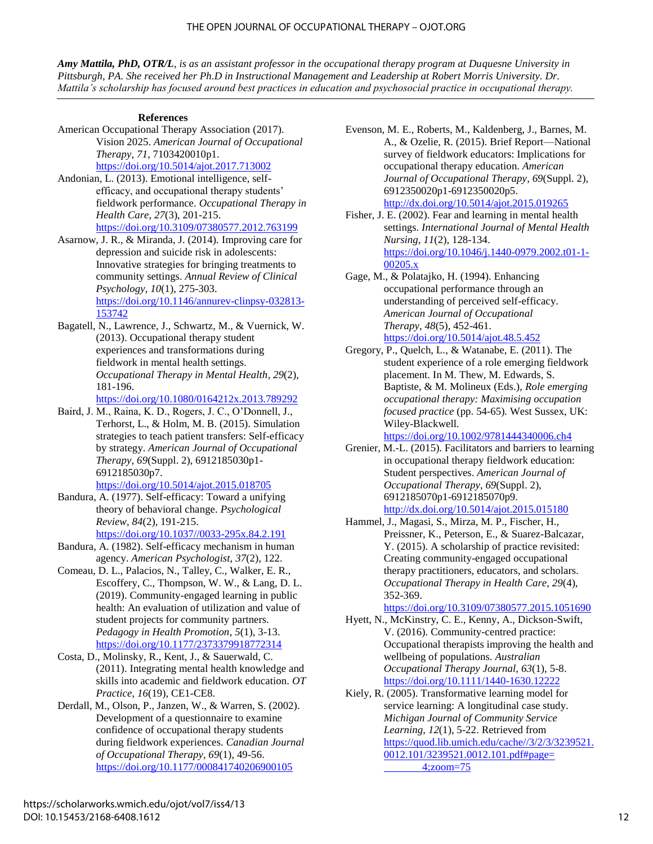#### THE OPEN JOURNAL OF OCCUPATIONAL THERAPY – OJOT.ORG

*Amy Mattila, PhD, OTR/L, is as an assistant professor in the occupational therapy program at Duquesne University in Pittsburgh, PA. She received her Ph.D in Instructional Management and Leadership at Robert Morris University. Dr. Mattila's scholarship has focused around best practices in education and psychosocial practice in occupational therapy.*

#### **References**

American Occupational Therapy Association (2017). Vision 2025. *American Journal of Occupational Therapy*, *71*, 7103420010p1. <https://doi.org/10.5014/ajot.2017.713002>

Andonian, L. (2013). Emotional intelligence, selfefficacy, and occupational therapy students' fieldwork performance. *Occupational Therapy in Health Care*, *27*(3), 201-215. <https://doi.org/10.3109/07380577.2012.763199>

Asarnow, J. R., & Miranda, J. (2014). Improving care for depression and suicide risk in adolescents: Innovative strategies for bringing treatments to community settings. *Annual Review of Clinical Psychology*, *10*(1), 275-303. [https://doi.org/10.1146/annurev-clinpsy-032813-](https://doi.org/10.1146/annurev-clinpsy-032813-153742) [153742](https://doi.org/10.1146/annurev-clinpsy-032813-153742)

Bagatell, N., Lawrence, J., Schwartz, M., & Vuernick, W. (2013). Occupational therapy student experiences and transformations during fieldwork in mental health settings. *Occupational Therapy in Mental Health*, *29*(2), 181-196.

<https://doi.org/10.1080/0164212x.2013.789292>

Baird, J. M., Raina, K. D., Rogers, J. C., O'Donnell, J., Terhorst, L., & Holm, M. B. (2015). Simulation strategies to teach patient transfers: Self-efficacy by strategy. *American Journal of Occupational Therapy*, *69*(Suppl. 2), 6912185030p1- 6912185030p7.

<https://doi.org/10.5014/ajot.2015.018705>

Bandura, A. (1977). Self-efficacy: Toward a unifying theory of behavioral change. *Psychological Review*, *84*(2), 191-215.

[https://doi.org/10.1037//0033-295x.84.2.191](https://doi.org/10.1037/0033-295x.84.2.191)

- Bandura, A. (1982). Self-efficacy mechanism in human agency. *American Psychologist*, *37*(2), 122.
- Comeau, D. L., Palacios, N., Talley, C., Walker, E. R., Escoffery, C., Thompson, W. W., & Lang, D. L. (2019). Community-engaged learning in public health: An evaluation of utilization and value of student projects for community partners. *Pedagogy in Health Promotion*, *5*(1), 3-13. <https://doi.org/10.1177/2373379918772314>

Costa, D., Molinsky, R., Kent, J., & Sauerwald, C. (2011). Integrating mental health knowledge and skills into academic and fieldwork education. *OT Practice*, *16*(19), CE1-CE8.

Derdall, M., Olson, P., Janzen, W., & Warren, S. (2002). Development of a questionnaire to examine confidence of occupational therapy students during fieldwork experiences. *Canadian Journal of Occupational Therapy*, *69*(1), 49-56. <https://doi.org/10.1177/000841740206900105>

Evenson, M. E., Roberts, M., Kaldenberg, J., Barnes, M. A., & Ozelie, R. (2015). Brief Report—National survey of fieldwork educators: Implications for occupational therapy education. *American Journal of Occupational Therapy*, *69*(Suppl. 2), 6912350020p1-6912350020p5. <http://dx.doi.org/10.5014/ajot.2015.019265>

Fisher, J. E. (2002). Fear and learning in mental health settings. *International Journal of Mental Health Nursing*, *11*(2), 128-134. [https://doi.org/10.1046/j.1440-0979.2002.t01-1-](https://doi.org/10.1046/j.1440-0979.2002.t01-1-00205.x) [00205.x](https://doi.org/10.1046/j.1440-0979.2002.t01-1-00205.x)

Gage, M., & Polatajko, H. (1994). Enhancing occupational performance through an understanding of perceived self-efficacy. *American Journal of Occupational Therapy*, *48*(5), 452-461. <https://doi.org/10.5014/ajot.48.5.452>

Gregory, P., Quelch, L., & Watanabe, E. (2011). The student experience of a role emerging fieldwork placement. In M. Thew, M. Edwards, S. Baptiste, & M. Molineux (Eds.), *Role emerging occupational therapy: Maximising occupation focused practice* (pp. 54-65)*.* West Sussex, UK: Wiley-Blackwell.

<https://doi.org/10.1002/9781444340006.ch4>

- Grenier, M.-L. (2015). Facilitators and barriers to learning in occupational therapy fieldwork education: Student perspectives. *American Journal of Occupational Therapy*, *69*(Suppl. 2), 6912185070p1-6912185070p9. <http://dx.doi.org/10.5014/ajot.2015.015180>
- Hammel, J., Magasi, S., Mirza, M. P., Fischer, H., Preissner, K., Peterson, E., & Suarez-Balcazar, Y. (2015). A scholarship of practice revisited: Creating community-engaged occupational therapy practitioners, educators, and scholars. *Occupational Therapy in Health Care*, *29*(4), 352-369.

<https://doi.org/10.3109/07380577.2015.1051690>

Hyett, N., McKinstry, C. E., Kenny, A., Dickson-Swift, V. (2016). Community-centred practice: Occupational therapists improving the health and wellbeing of populations. *Australian Occupational Therapy Journal*, *63*(1), 5-8. <https://doi.org/10.1111/1440-1630.12222>

Kiely, R. (2005). Transformative learning model for service learning: A longitudinal case study. *Michigan Journal of Community Service Learning*, *12*(1), 5-22. Retrieved from [https://quod.lib.umich.edu/cache//3/2/3/3239521.](https://quod.lib.umich.edu/cache/3/2/3/3239521.0012.101/3239521.0012.101.pdf#page= 4;zoom=75) [0012.101/3239521.0012.101.pdf#page=](https://quod.lib.umich.edu/cache/3/2/3/3239521.0012.101/3239521.0012.101.pdf#page= 4;zoom=75) [4;zoom=75](https://quod.lib.umich.edu/cache/3/2/3/3239521.0012.101/3239521.0012.101.pdf#page= 4;zoom=75)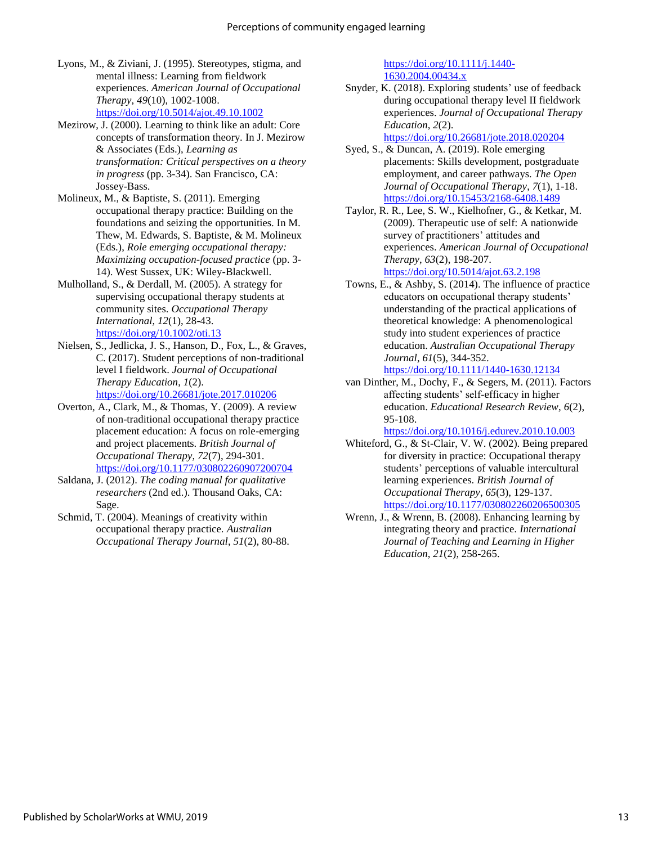- Lyons, M., & Ziviani, J. (1995). Stereotypes, stigma, and mental illness: Learning from fieldwork experiences. *American Journal of Occupational Therapy*, *49*(10), 1002-1008. <https://doi.org/10.5014/ajot.49.10.1002>
- Mezirow, J. (2000). Learning to think like an adult: Core concepts of transformation theory. In J. Mezirow & Associates (Eds.), *Learning as transformation: Critical perspectives on a theory in progress* (pp. 3-34). San Francisco, CA: Jossey-Bass.
- Molineux, M., & Baptiste, S. (2011). Emerging occupational therapy practice: Building on the foundations and seizing the opportunities. In M. Thew, M. Edwards, S. Baptiste, & M. Molineux (Eds.), *Role emerging occupational therapy: Maximizing occupation-focused practice* (pp. 3- 14). West Sussex, UK: Wiley-Blackwell.
- Mulholland, S., & Derdall, M. (2005). A strategy for supervising occupational therapy students at community sites. *Occupational Therapy International*, *12*(1), 28-43. <https://doi.org/10.1002/oti.13>
- Nielsen, S., Jedlicka, J. S., Hanson, D., Fox, L., & Graves, C. (2017). Student perceptions of non-traditional level I fieldwork. *Journal of Occupational Therapy Education*, *1*(2). <https://doi.org/10.26681/jote.2017.010206>
- Overton, A., Clark, M., & Thomas, Y. (2009). A review of non-traditional occupational therapy practice placement education: A focus on role-emerging and project placements. *British Journal of Occupational Therapy*, *72*(7), 294-301. <https://doi.org/10.1177/030802260907200704>
- Saldana, J. (2012). *The coding manual for qualitative researchers* (2nd ed.). Thousand Oaks, CA: Sage.
- Schmid, T. (2004). Meanings of creativity within occupational therapy practice. *Australian Occupational Therapy Journal*, *51*(2), 80-88.

[https://doi.org/10.1111/j.1440-](https://doi.org/10.1111/j.1440-1630.2004.00434.x) [1630.2004.00434.x](https://doi.org/10.1111/j.1440-1630.2004.00434.x)

Snyder, K. (2018). Exploring students' use of feedback during occupational therapy level II fieldwork experiences. *Journal of Occupational Therapy Education*, *2*(2).

<https://doi.org/10.26681/jote.2018.020204>

- Syed, S., & Duncan, A. (2019). Role emerging placements: Skills development, postgraduate employment, and career pathways. *The Open Journal of Occupational Therapy*, *7*(1), 1-18. <https://doi.org/10.15453/2168-6408.1489>
- Taylor, R. R., Lee, S. W., Kielhofner, G., & Ketkar, M. (2009). Therapeutic use of self: A nationwide survey of practitioners' attitudes and experiences. *American Journal of Occupational Therapy*, *63*(2), 198-207. <https://doi.org/10.5014/ajot.63.2.198>
- Towns, E., & Ashby, S. (2014). The influence of practice educators on occupational therapy students' understanding of the practical applications of theoretical knowledge: A phenomenological study into student experiences of practice education. *Australian Occupational Therapy Journal*, *61*(5), 344-352. <https://doi.org/10.1111/1440-1630.12134>
- van Dinther, M., Dochy, F., & Segers, M. (2011). Factors affecting students' self-efficacy in higher education. *Educational Research Review*, *6*(2), 95-108.

<https://doi.org/10.1016/j.edurev.2010.10.003>

- Whiteford, G., & St-Clair, V. W. (2002). Being prepared for diversity in practice: Occupational therapy students' perceptions of valuable intercultural learning experiences. *British Journal of Occupational Therapy*, *65*(3), 129-137. <https://doi.org/10.1177/030802260206500305>
- Wrenn, J., & Wrenn, B. (2008). Enhancing learning by integrating theory and practice. *International Journal of Teaching and Learning in Higher Education*, *21*(2), 258-265.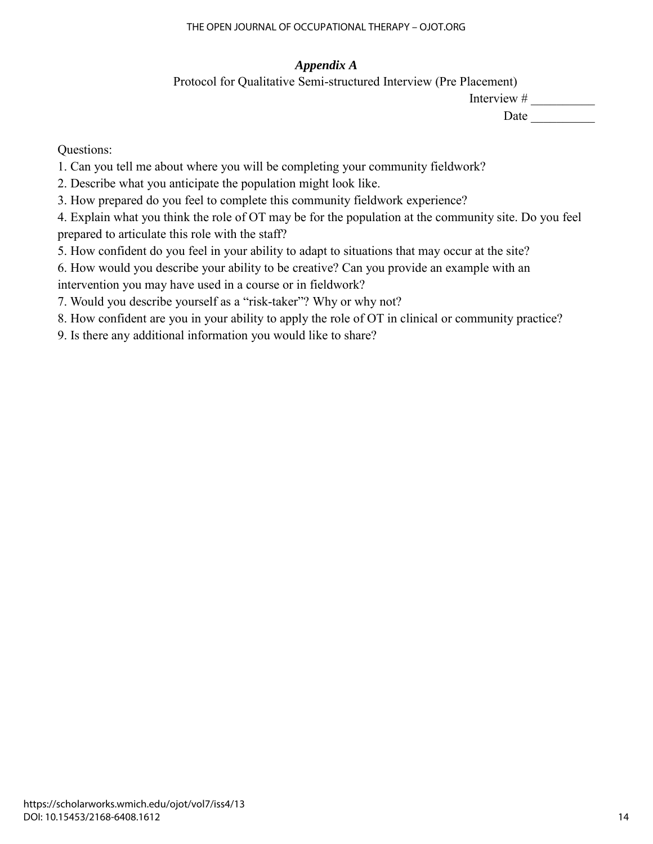# *Appendix A*

Protocol for Qualitative Semi-structured Interview (Pre Placement)

Interview #

Date  $\qquad \qquad \qquad$ 

Questions:

1. Can you tell me about where you will be completing your community fieldwork?

2. Describe what you anticipate the population might look like.

3. How prepared do you feel to complete this community fieldwork experience?

4. Explain what you think the role of OT may be for the population at the community site. Do you feel prepared to articulate this role with the staff?

5. How confident do you feel in your ability to adapt to situations that may occur at the site?

6. How would you describe your ability to be creative? Can you provide an example with an intervention you may have used in a course or in fieldwork?

7. Would you describe yourself as a "risk-taker"? Why or why not?

8. How confident are you in your ability to apply the role of OT in clinical or community practice?

9. Is there any additional information you would like to share?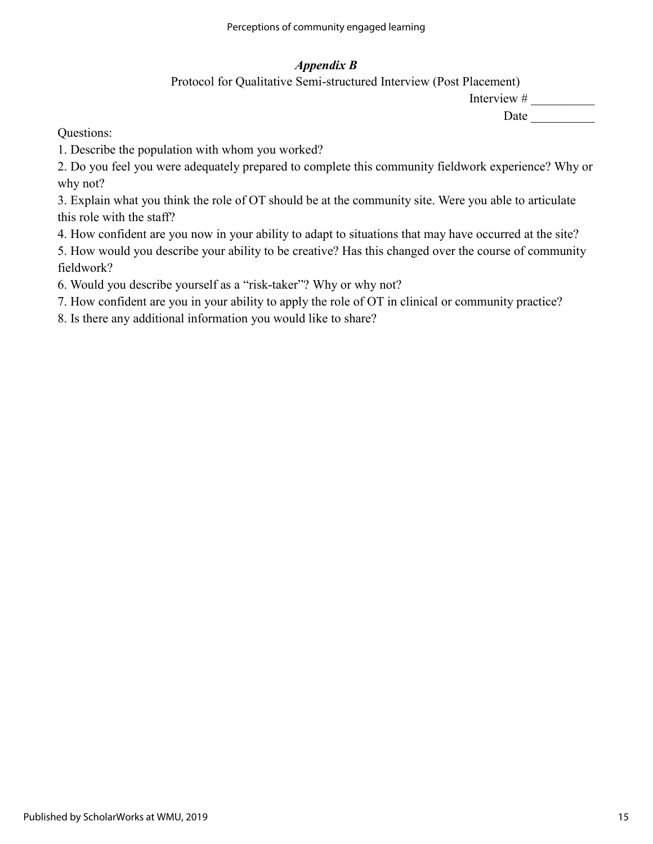# *Appendix B*

Protocol for Qualitative Semi-structured Interview (Post Placement)

Interview #

Date \_\_\_\_\_\_\_\_\_\_

Questions:

1. Describe the population with whom you worked?

2. Do you feel you were adequately prepared to complete this community fieldwork experience? Why or why not?

3. Explain what you think the role of OT should be at the community site. Were you able to articulate this role with the staff?

4. How confident are you now in your ability to adapt to situations that may have occurred at the site?

5. How would you describe your ability to be creative? Has this changed over the course of community fieldwork?

6. Would you describe yourself as a "risk-taker"? Why or why not?

7. How confident are you in your ability to apply the role of OT in clinical or community practice?

8. Is there any additional information you would like to share?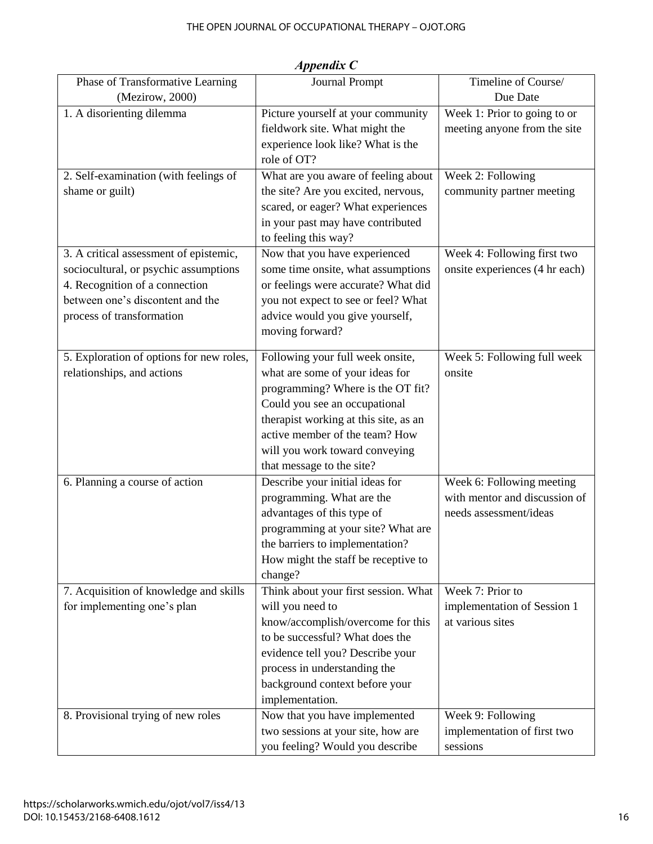| Phase of Transformative Learning         | <b>Journal Prompt</b>                 | Timeline of Course/                                        |
|------------------------------------------|---------------------------------------|------------------------------------------------------------|
| (Mezirow, 2000)                          |                                       | Due Date                                                   |
| 1. A disorienting dilemma                | Picture yourself at your community    | Week 1: Prior to going to or                               |
|                                          | fieldwork site. What might the        | meeting anyone from the site                               |
|                                          | experience look like? What is the     |                                                            |
|                                          | role of OT?                           |                                                            |
| 2. Self-examination (with feelings of    | What are you aware of feeling about   | Week 2: Following                                          |
| shame or guilt)                          | the site? Are you excited, nervous,   | community partner meeting                                  |
|                                          | scared, or eager? What experiences    |                                                            |
|                                          | in your past may have contributed     |                                                            |
|                                          |                                       |                                                            |
|                                          | to feeling this way?                  |                                                            |
| 3. A critical assessment of epistemic,   | Now that you have experienced         | Week 4: Following first two                                |
| sociocultural, or psychic assumptions    | some time onsite, what assumptions    | onsite experiences (4 hr each)                             |
| 4. Recognition of a connection           | or feelings were accurate? What did   |                                                            |
| between one's discontent and the         | you not expect to see or feel? What   |                                                            |
| process of transformation                | advice would you give yourself,       |                                                            |
|                                          | moving forward?                       |                                                            |
| 5. Exploration of options for new roles, | Following your full week onsite,      | Week 5: Following full week                                |
| relationships, and actions               | what are some of your ideas for       | onsite                                                     |
|                                          | programming? Where is the OT fit?     |                                                            |
|                                          | Could you see an occupational         |                                                            |
|                                          | therapist working at this site, as an |                                                            |
|                                          | active member of the team? How        |                                                            |
|                                          | will you work toward conveying        |                                                            |
|                                          | that message to the site?             |                                                            |
|                                          |                                       |                                                            |
| 6. Planning a course of action           | Describe your initial ideas for       | Week 6: Following meeting<br>with mentor and discussion of |
|                                          | programming. What are the             |                                                            |
|                                          | advantages of this type of            | needs assessment/ideas                                     |
|                                          | programming at your site? What are    |                                                            |
|                                          | the barriers to implementation?       |                                                            |
|                                          | How might the staff be receptive to   |                                                            |
|                                          | change?                               |                                                            |
| 7. Acquisition of knowledge and skills   | Think about your first session. What  | Week 7: Prior to                                           |
| for implementing one's plan              | will you need to                      | implementation of Session 1                                |
|                                          | know/accomplish/overcome for this     | at various sites                                           |
|                                          | to be successful? What does the       |                                                            |
|                                          | evidence tell you? Describe your      |                                                            |
|                                          | process in understanding the          |                                                            |
|                                          | background context before your        |                                                            |
|                                          | implementation.                       |                                                            |
| 8. Provisional trying of new roles       | Now that you have implemented         | Week 9: Following                                          |
|                                          | two sessions at your site, how are    | implementation of first two                                |
|                                          | you feeling? Would you describe       | sessions                                                   |

*Appendix C*